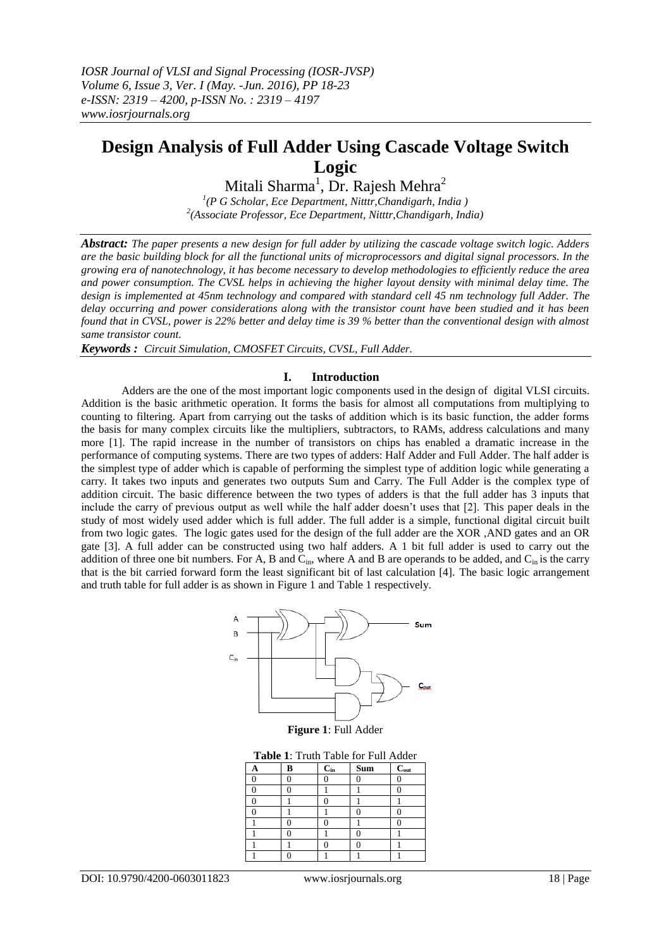# **Design Analysis of Full Adder Using Cascade Voltage Switch Logic**

Mitali Sharma $^1$ , Dr. Rajesh Mehra $^2$ 

*1 (P G Scholar, Ece Department, Nitttr,Chandigarh, India ) 2 (Associate Professor, Ece Department, Nitttr,Chandigarh, India)*

*Abstract: The paper presents a new design for full adder by utilizing the cascade voltage switch logic. Adders are the basic building block for all the functional units of microprocessors and digital signal processors. In the growing era of nanotechnology, it has become necessary to develop methodologies to efficiently reduce the area and power consumption. The CVSL helps in achieving the higher layout density with minimal delay time. The design is implemented at 45nm technology and compared with standard cell 45 nm technology full Adder. The delay occurring and power considerations along with the transistor count have been studied and it has been found that in CVSL, power is 22% better and delay time is 39 % better than the conventional design with almost same transistor count.*

*Keywords : Circuit Simulation, CMOSFET Circuits, CVSL, Full Adder.*

## **I. Introduction**

Adders are the one of the most important logic components used in the design of digital VLSI circuits. Addition is the basic arithmetic operation. It forms the basis for almost all computations from multiplying to counting to filtering. Apart from carrying out the tasks of addition which is its basic function, the adder forms the basis for many complex circuits like the multipliers, subtractors, to RAMs, address calculations and many more [1]. The rapid increase in the number of transistors on chips has enabled a dramatic increase in the performance of computing systems. There are two types of adders: Half Adder and Full Adder. The half adder is the simplest type of adder which is capable of performing the simplest type of addition logic while generating a carry. It takes two inputs and generates two outputs Sum and Carry. The Full Adder is the complex type of addition circuit. The basic difference between the two types of adders is that the full adder has 3 inputs that include the carry of previous output as well while the half adder doesn't uses that [2]. This paper deals in the study of most widely used adder which is full adder. The full adder is a simple, functional digital circuit built from two logic gates. The logic gates used for the design of the full adder are the XOR ,AND gates and an OR gate [3]. A full adder can be constructed using two half adders. A 1 bit full adder is used to carry out the addition of three one bit numbers. For A, B and  $C_{in}$ , where A and B are operands to be added, and  $C_{in}$  is the carry that is the bit carried forward form the least significant bit of last calculation [4]. The basic logic arrangement and truth table for full adder is as shown in Figure 1 and Table 1 respectively.



**Figure 1**: Full Adder

**Table 1**: Truth Table for Full Adder

| А | B | $C_{in}$ | sum | $C_{out}$ |
|---|---|----------|-----|-----------|
|   |   |          |     |           |
|   |   |          |     |           |
|   |   |          |     |           |
|   |   |          |     |           |
|   |   |          |     |           |
|   |   |          |     |           |
|   |   |          |     |           |
|   |   |          |     |           |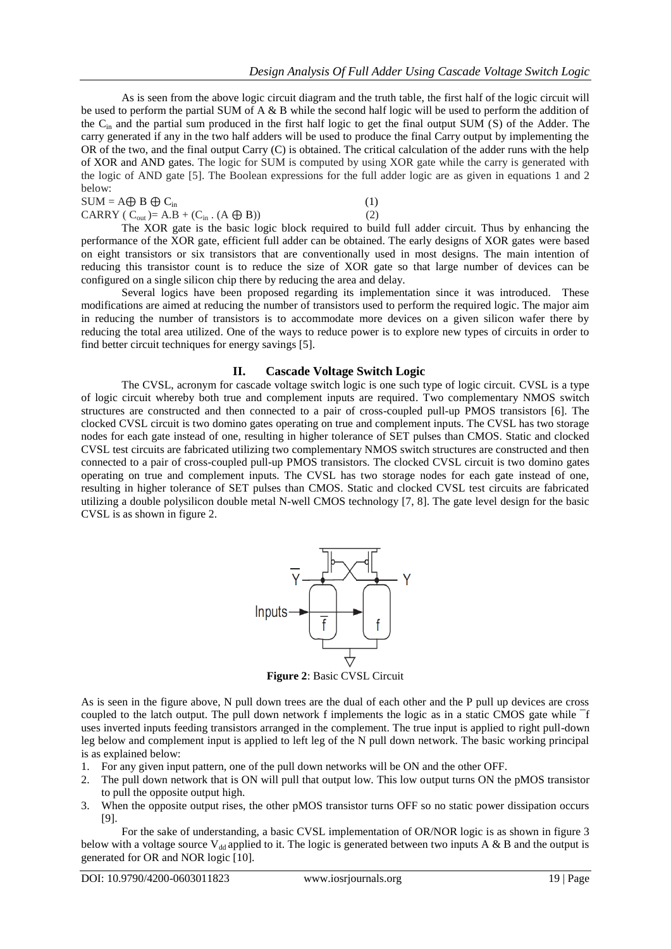As is seen from the above logic circuit diagram and the truth table, the first half of the logic circuit will be used to perform the partial SUM of A & B while the second half logic will be used to perform the addition of the Cin and the partial sum produced in the first half logic to get the final output SUM (S) of the Adder. The carry generated if any in the two half adders will be used to produce the final Carry output by implementing the OR of the two, and the final output Carry (C) is obtained. The critical calculation of the adder runs with the help of XOR and AND gates. The logic for SUM is computed by using XOR gate while the carry is generated with the logic of AND gate [5]. The Boolean expressions for the full adder logic are as given in equations 1 and 2 below:

| $SUM = A \oplus B \oplus C_{in}$                           |     |
|------------------------------------------------------------|-----|
| CARRY ( $C_{out}$ )= A.B + ( $C_{in}$ . (A $\bigoplus$ B)) | (2) |

The XOR gate is the basic logic block required to build full adder circuit. Thus by enhancing the performance of the XOR gate, efficient full adder can be obtained. The early designs of XOR gates were based on eight transistors or six transistors that are conventionally used in most designs. The main intention of reducing this transistor count is to reduce the size of XOR gate so that large number of devices can be configured on a single silicon chip there by reducing the area and delay.

Several logics have been proposed regarding its implementation since it was introduced. These modifications are aimed at reducing the number of transistors used to perform the required logic. The major aim in reducing the number of transistors is to accommodate more devices on a given silicon wafer there by reducing the total area utilized. One of the ways to reduce power is to explore new types of circuits in order to find better circuit techniques for energy savings [5].

## **II. Cascade Voltage Switch Logic**

The CVSL, acronym for cascade voltage switch logic is one such type of logic circuit. CVSL is a type of logic circuit whereby both true and complement inputs are required. Two complementary NMOS switch structures are constructed and then connected to a pair of cross-coupled pull-up PMOS transistors [6]. The clocked CVSL circuit is two domino gates operating on true and complement inputs. The CVSL has two storage nodes for each gate instead of one, resulting in higher tolerance of SET pulses than CMOS. Static and clocked CVSL test circuits are fabricated utilizing two complementary NMOS switch structures are constructed and then connected to a pair of cross-coupled pull-up PMOS transistors. The clocked CVSL circuit is two domino gates operating on true and complement inputs. The CVSL has two storage nodes for each gate instead of one, resulting in higher tolerance of SET pulses than CMOS. Static and clocked CVSL test circuits are fabricated utilizing a double polysilicon double metal N-well CMOS technology [7, 8]. The gate level design for the basic CVSL is as shown in figure 2.



**Figure 2**: Basic CVSL Circuit

As is seen in the figure above, N pull down trees are the dual of each other and the P pull up devices are cross coupled to the latch output. The pull down network f implements the logic as in a static CMOS gate while <sup>-f</sup> uses inverted inputs feeding transistors arranged in the complement. The true input is applied to right pull-down leg below and complement input is applied to left leg of the N pull down network. The basic working principal is as explained below:

- 1. For any given input pattern, one of the pull down networks will be ON and the other OFF.
- 2. The pull down network that is ON will pull that output low. This low output turns ON the pMOS transistor to pull the opposite output high.
- 3. When the opposite output rises, the other pMOS transistor turns OFF so no static power dissipation occurs [9].

For the sake of understanding, a basic CVSL implementation of OR/NOR logic is as shown in figure 3 below with a voltage source V<sub>dd</sub> applied to it. The logic is generated between two inputs A & B and the output is generated for OR and NOR logic [10].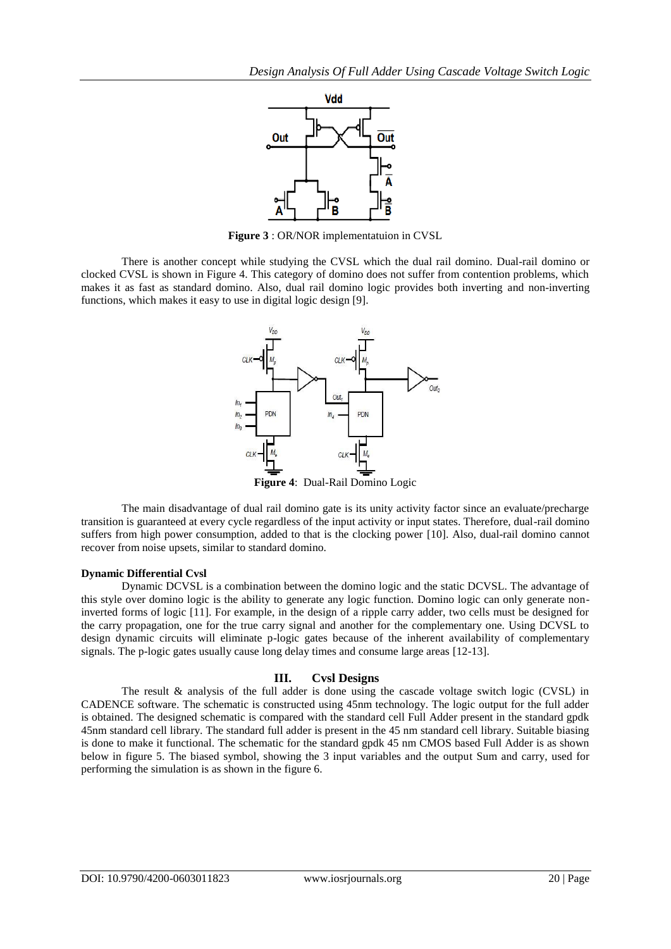

**Figure 3** : OR/NOR implementatuion in CVSL

There is another concept while studying the CVSL which the dual rail domino. Dual-rail domino or clocked CVSL is shown in Figure 4. This category of domino does not suffer from contention problems, which makes it as fast as standard domino. Also, dual rail domino logic provides both inverting and non-inverting functions, which makes it easy to use in digital logic design [9].



**Figure 4**: Dual-Rail Domino Logic

The main disadvantage of dual rail domino gate is its unity activity factor since an evaluate/precharge transition is guaranteed at every cycle regardless of the input activity or input states. Therefore, dual-rail domino suffers from high power consumption, added to that is the clocking power [10]. Also, dual-rail domino cannot recover from noise upsets, similar to standard domino.

#### **Dynamic Differential Cvsl**

Dynamic DCVSL is a combination between the domino logic and the static DCVSL. The advantage of this style over domino logic is the ability to generate any logic function. Domino logic can only generate noninverted forms of logic [11]. For example, in the design of a ripple carry adder, two cells must be designed for the carry propagation, one for the true carry signal and another for the complementary one. Using DCVSL to design dynamic circuits will eliminate p-logic gates because of the inherent availability of complementary signals. The p-logic gates usually cause long delay times and consume large areas [12-13].

# **III. Cvsl Designs**

The result & analysis of the full adder is done using the cascade voltage switch logic (CVSL) in CADENCE software. The schematic is constructed using 45nm technology. The logic output for the full adder is obtained. The designed schematic is compared with the standard cell Full Adder present in the standard gpdk 45nm standard cell library. The standard full adder is present in the 45 nm standard cell library. Suitable biasing is done to make it functional. The schematic for the standard gpdk 45 nm CMOS based Full Adder is as shown below in figure 5. The biased symbol, showing the 3 input variables and the output Sum and carry, used for performing the simulation is as shown in the figure 6.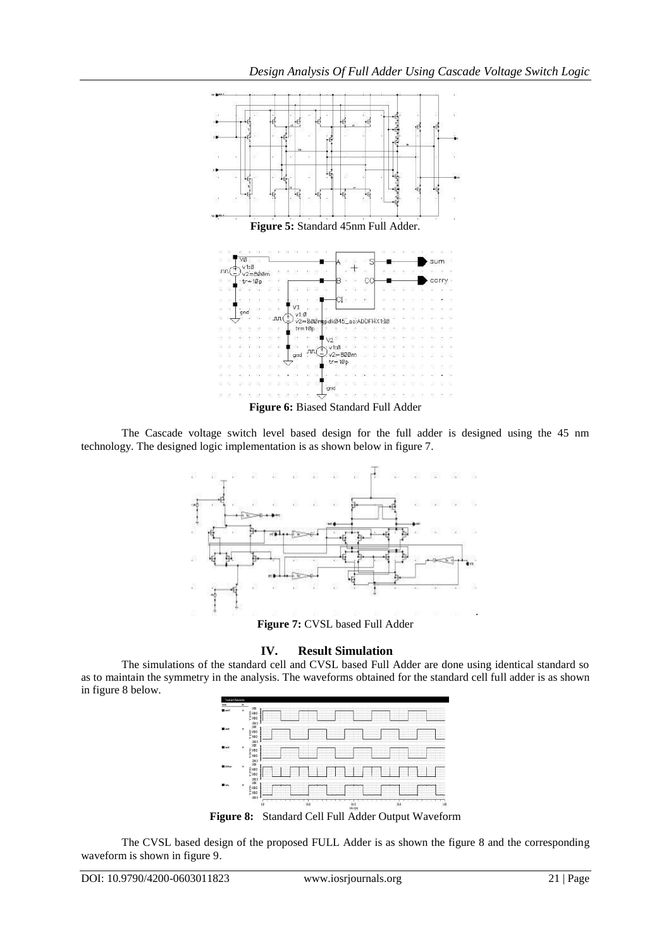

The Cascade voltage switch level based design for the full adder is designed using the 45 nm technology. The designed logic implementation is as shown below in figure 7.





# **IV. Result Simulation**

The simulations of the standard cell and CVSL based Full Adder are done using identical standard so as to maintain the symmetry in the analysis. The waveforms obtained for the standard cell full adder is as shown in figure 8 below.



**Figure 8:** Standard Cell Full Adder Output Waveform

The CVSL based design of the proposed FULL Adder is as shown the figure 8 and the corresponding waveform is shown in figure 9.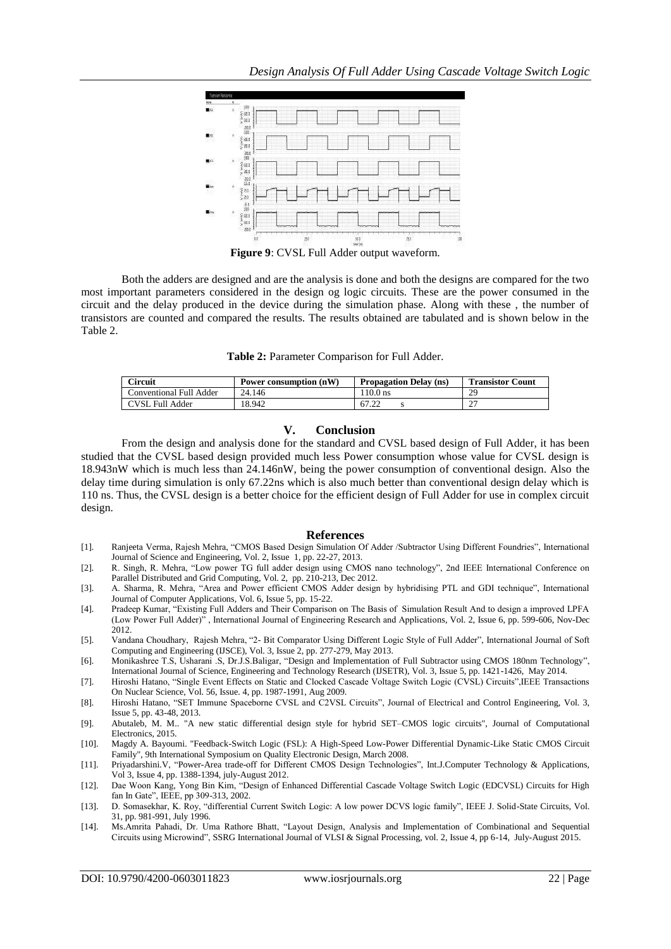

Both the adders are designed and are the analysis is done and both the designs are compared for the two most important parameters considered in the design og logic circuits. These are the power consumed in the circuit and the delay produced in the device during the simulation phase. Along with these , the number of transistors are counted and compared the results. The results obtained are tabulated and is shown below in the Table 2.

| Table 2: Parameter Comparison for Full Adder. |  |  |  |
|-----------------------------------------------|--|--|--|
|-----------------------------------------------|--|--|--|

| Circuit                 | Power consumption (nW) | <b>Propagation Delay (ns)</b> | <b>Transistor Count</b> |
|-------------------------|------------------------|-------------------------------|-------------------------|
| Conventional Full Adder | 24.146                 | 110.0 ns                      | 29                      |
| CVSL Full Adder         | 18.942                 | 67.22                         | . _                     |

#### **V. Conclusion**

From the design and analysis done for the standard and CVSL based design of Full Adder, it has been studied that the CVSL based design provided much less Power consumption whose value for CVSL design is 18.943nW which is much less than 24.146nW, being the power consumption of conventional design. Also the delay time during simulation is only 67.22ns which is also much better than conventional design delay which is 110 ns. Thus, the CVSL design is a better choice for the efficient design of Full Adder for use in complex circuit design.

#### **References**

- [1]. Ranjeeta Verma, Rajesh Mehra, "CMOS Based Design Simulation Of Adder /Subtractor Using Different Foundries", International Journal of Science and Engineering, Vol. 2, Issue 1, pp. 22-27, 2013.
- [2]. R. Singh, R. Mehra, "Low power TG full adder design using CMOS nano technology", 2nd IEEE International Conference on Parallel Distributed and Grid Computing, Vol. 2, pp. 210-213, Dec 2012.
- [3]. A. Sharma, R. Mehra, "Area and Power efficient CMOS Adder design by hybridising PTL and GDI technique", International Journal of Computer Applications, Vol. 6, Issue 5, pp. 15-22.
- [4]. Pradeep Kumar, "Existing Full Adders and Their Comparison on The Basis of Simulation Result And to design a improved LPFA (Low Power Full Adder)" , International Journal of Engineering Research and Applications, Vol. 2, Issue 6, pp. 599-606, Nov-Dec 2012.
- [5]. Vandana Choudhary, Rajesh Mehra, "2- Bit Comparator Using Different Logic Style of Full Adder", International Journal of Soft Computing and Engineering (IJSCE), Vol. 3, Issue 2, pp. 277-279, May 2013.
- [6]. Monikashree T.S, Usharani .S, Dr.J.S.Baligar, "Design and Implementation of Full Subtractor using CMOS 180nm Technology", International Journal of Science, Engineering and Technology Research (IJSETR), Vol. 3, Issue 5, pp. 1421-1426, May 2014.
- [7]. Hiroshi Hatano, "Single Event Effects on Static and Clocked Cascade Voltage Switch Logic (CVSL) Circuits",IEEE Transactions On Nuclear Science, Vol. 56, Issue. 4, pp. 1987-1991, Aug 2009.
- [8]. Hiroshi Hatano, "SET Immune Spaceborne CVSL and C2VSL Circuits", Journal of Electrical and Control Engineering, Vol. 3, Issue 5, pp. 43-48, 2013.
- [9]. [Abutaleb, M. M.. "A new static differential design style for hybrid SET–CMOS logic circuits", Journal of Computational](http://dx.doi.org/10.1007/s10825-014-0660-2)  [Electronics, 2015.](http://dx.doi.org/10.1007/s10825-014-0660-2)
- [10]. [Magdy A. Bayoumi. "Feedback-Switch Logic \(FSL\): A High-Speed Low-Power Differential Dynamic-Like Static CMOS Circuit](http://dx.doi.org/10.1109/ISQED.2008.4479762)  [Family", 9th International Symposium on Quality Electronic Design, March 2008](http://dx.doi.org/10.1109/ISQED.2008.4479762).
- [11]. Priyadarshini.V, "Power-Area trade-off for Different CMOS Design Technologies", Int.J.Computer Technology & Applications, Vol 3, Issue 4, pp. 1388-1394, july-August 2012.
- [12]. Dae Woon Kang, Yong Bin Kim, "Design of Enhanced Differential Cascade Voltage Switch Logic (EDCVSL) Circuits for High fan In Gate", IEEE, pp 309-313, 2002.
- [13]. D. Somasekhar, K. Roy, "differential Current Switch Logic: A low power DCVS logic family", IEEE J. Solid-State Circuits, Vol. 31, pp. 981-991, July 1996.
- [14]. Ms.Amrita Pahadi, Dr. Uma Rathore Bhatt, "Layout Design, Analysis and Implementation of Combinational and Sequential Circuits using Microwind", SSRG International Journal of VLSI & Signal Processing, vol. 2, Issue 4, pp 6-14, July-August 2015.